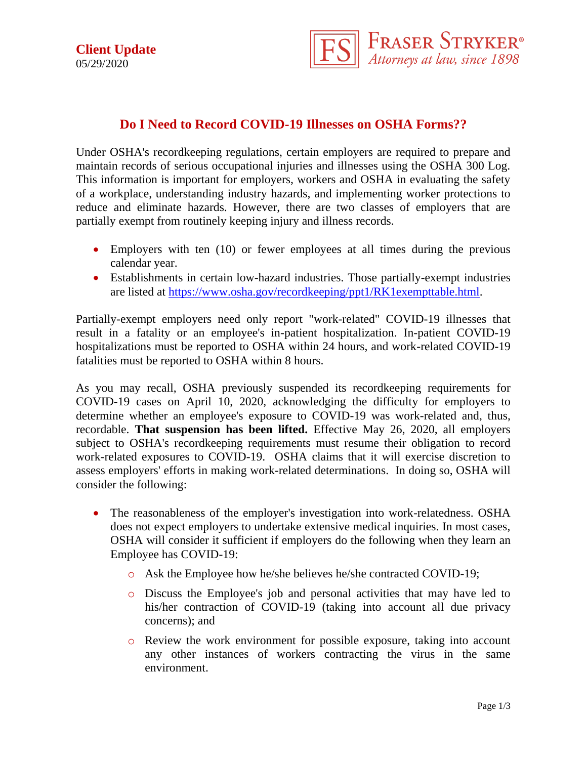**Client Update** 05/29/2020



## **Do I Need to Record COVID-19 Illnesses on OSHA Forms??**

Under OSHA's recordkeeping regulations, certain employers are required to prepare and maintain records of serious occupational injuries and illnesses using the OSHA 300 Log. This information is important for employers, workers and OSHA in evaluating the safety of a workplace, understanding industry hazards, and implementing worker protections to reduce and eliminate hazards. However, there are two classes of employers that are partially exempt from routinely keeping injury and illness records.

- Employers with ten (10) or fewer employees at all times during the previous calendar year.
- Establishments in certain low-hazard industries. Those partially-exempt industries are listed at [https://www.osha.gov/recordkeeping/ppt1/RK1exempttable.html.](https://www.osha.gov/recordkeeping/ppt1/RK1exempttable.html)

Partially-exempt employers need only report "work-related" COVID-19 illnesses that result in a fatality or an employee's in-patient hospitalization. In-patient COVID-19 hospitalizations must be reported to OSHA within 24 hours, and work-related COVID-19 fatalities must be reported to OSHA within 8 hours.

As you may recall, OSHA previously suspended its recordkeeping requirements for COVID-19 cases on April 10, 2020, acknowledging the difficulty for employers to determine whether an employee's exposure to COVID-19 was work-related and, thus, recordable. **That suspension has been lifted.** Effective May 26, 2020, all employers subject to OSHA's recordkeeping requirements must resume their obligation to record work-related exposures to COVID-19. OSHA claims that it will exercise discretion to assess employers' efforts in making work-related determinations. In doing so, OSHA will consider the following:

- The reasonableness of the employer's investigation into work-relatedness. OSHA does not expect employers to undertake extensive medical inquiries. In most cases, OSHA will consider it sufficient if employers do the following when they learn an Employee has COVID-19:
	- o Ask the Employee how he/she believes he/she contracted COVID-19;
	- o Discuss the Employee's job and personal activities that may have led to his/her contraction of COVID-19 (taking into account all due privacy concerns); and
	- o Review the work environment for possible exposure, taking into account any other instances of workers contracting the virus in the same environment.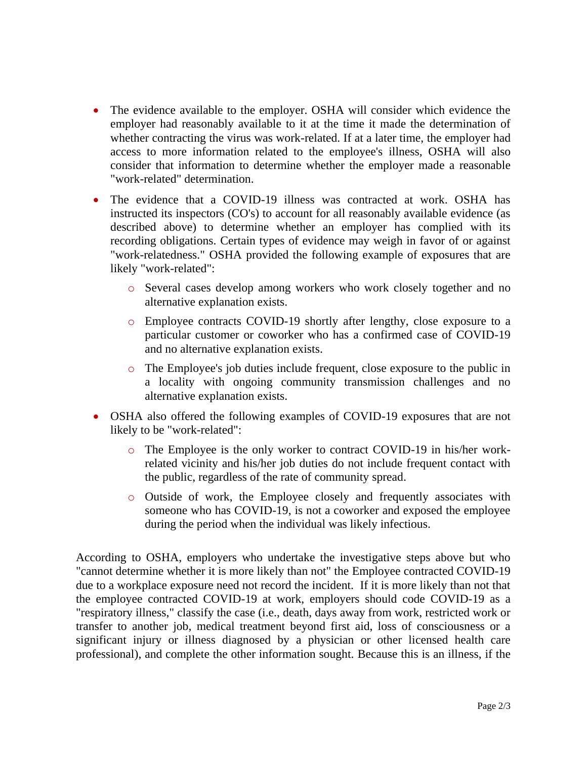- The evidence available to the employer. OSHA will consider which evidence the employer had reasonably available to it at the time it made the determination of whether contracting the virus was work-related. If at a later time, the employer had access to more information related to the employee's illness, OSHA will also consider that information to determine whether the employer made a reasonable "work-related" determination.
- The evidence that a COVID-19 illness was contracted at work. OSHA has instructed its inspectors (CO's) to account for all reasonably available evidence (as described above) to determine whether an employer has complied with its recording obligations. Certain types of evidence may weigh in favor of or against "work-relatedness." OSHA provided the following example of exposures that are likely "work-related":
	- o Several cases develop among workers who work closely together and no alternative explanation exists.
	- o Employee contracts COVID-19 shortly after lengthy, close exposure to a particular customer or coworker who has a confirmed case of COVID-19 and no alternative explanation exists.
	- o The Employee's job duties include frequent, close exposure to the public in a locality with ongoing community transmission challenges and no alternative explanation exists.
- OSHA also offered the following examples of COVID-19 exposures that are not likely to be "work-related":
	- o The Employee is the only worker to contract COVID-19 in his/her workrelated vicinity and his/her job duties do not include frequent contact with the public, regardless of the rate of community spread.
	- o Outside of work, the Employee closely and frequently associates with someone who has COVID-19, is not a coworker and exposed the employee during the period when the individual was likely infectious.

According to OSHA, employers who undertake the investigative steps above but who "cannot determine whether it is more likely than not" the Employee contracted COVID-19 due to a workplace exposure need not record the incident. If it is more likely than not that the employee contracted COVID-19 at work, employers should code COVID-19 as a "respiratory illness," classify the case (i.e., death, days away from work, restricted work or transfer to another job, medical treatment beyond first aid, loss of consciousness or a significant injury or illness diagnosed by a physician or other licensed health care professional), and complete the other information sought. Because this is an illness, if the